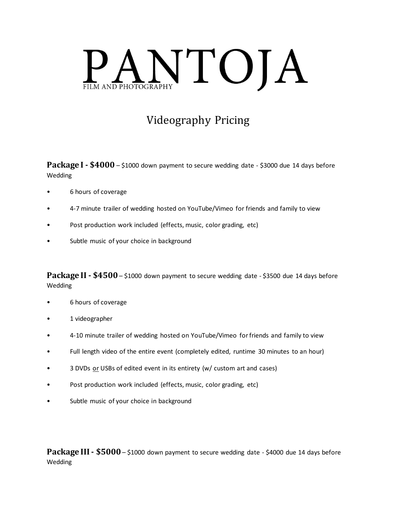

## Videography Pricing

**Package I - \$4000** – \$1000 down payment to secure wedding date - \$3000 due 14 days before Wedding

- 6 hours of coverage
- 4-7 minute trailer of wedding hosted on YouTube/Vimeo for friends and family to view
- Post production work included (effects, music, color grading, etc)
- Subtle music of your choice in background

**Package II - \$4500**– \$1000 down payment to secure wedding date - \$3500 due 14 days before Wedding

- 6 hours of coverage
- 1 videographer
- 4-10 minute trailer of wedding hosted on YouTube/Vimeo for friends and family to view
- Full length video of the entire event (completely edited, runtime 30 minutes to an hour)
- 3 DVDs or USBs of edited event in its entirety (w/ custom art and cases)
- Post production work included (effects, music, color grading, etc)
- Subtle music of your choice in background

**Package III - \$5000** – \$1000 down payment to secure wedding date - \$4000 due 14 days before Wedding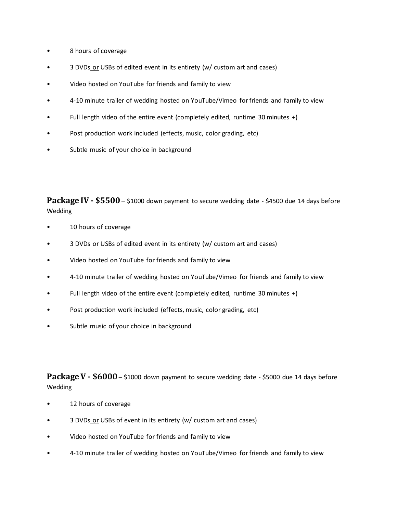- 8 hours of coverage
- 3 DVDs or USBs of edited event in its entirety (w/ custom art and cases)
- Video hosted on YouTube for friends and family to view
- 4-10 minute trailer of wedding hosted on YouTube/Vimeo for friends and family to view
- Full length video of the entire event (completely edited, runtime 30 minutes +)
- Post production work included (effects, music, color grading, etc)
- Subtle music of your choice in background

**Package IV - \$5500** – \$1000 down payment to secure wedding date - \$4500 due 14 days before Wedding

- 10 hours of coverage
- 3 DVDs or USBs of edited event in its entirety (w/ custom art and cases)
- Video hosted on YouTube for friends and family to view
- 4-10 minute trailer of wedding hosted on YouTube/Vimeo for friends and family to view
- Full length video of the entire event (completely edited, runtime 30 minutes +)
- Post production work included (effects, music, color grading, etc)
- Subtle music of your choice in background

**Package V - \$6000**– \$1000 down payment to secure wedding date - \$5000 due 14 days before Wedding

- 12 hours of coverage
- 3 DVDs or USBs of event in its entirety (w/ custom art and cases)
- Video hosted on YouTube for friends and family to view
- 4-10 minute trailer of wedding hosted on YouTube/Vimeo for friends and family to view